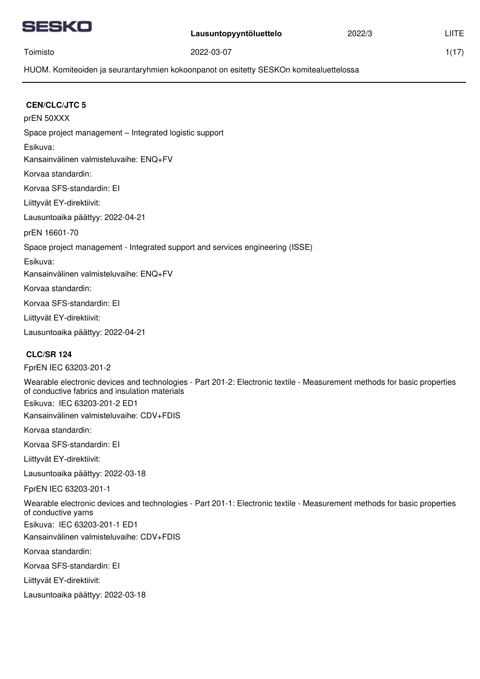|--|

1(17)

Toimisto

2022-03-07

HUOM. Komiteoiden ja seurantaryhmien kokoonpanot on esitetty SESKOn komitealuettelossa

| <b>CEN/CLC/JTC 5</b>                                                                                                                                                       |
|----------------------------------------------------------------------------------------------------------------------------------------------------------------------------|
| prEN 50XXX                                                                                                                                                                 |
| Space project management - Integrated logistic support                                                                                                                     |
| Esikuva:                                                                                                                                                                   |
| Kansainvälinen valmisteluvaihe: ENQ+FV                                                                                                                                     |
| Korvaa standardin:                                                                                                                                                         |
| Korvaa SFS-standardin: El                                                                                                                                                  |
| Liittyvät EY-direktiivit:                                                                                                                                                  |
| Lausuntoaika päättyy: 2022-04-21                                                                                                                                           |
| prEN 16601-70                                                                                                                                                              |
| Space project management - Integrated support and services engineering (ISSE)                                                                                              |
| Esikuva:                                                                                                                                                                   |
| Kansainvälinen valmisteluvaihe: ENQ+FV                                                                                                                                     |
| Korvaa standardin:                                                                                                                                                         |
| Korvaa SFS-standardin: El                                                                                                                                                  |
| Liittyvät EY-direktiivit:                                                                                                                                                  |
| Lausuntoaika päättyy: 2022-04-21                                                                                                                                           |
| <b>CLC/SR 124</b>                                                                                                                                                          |
| FprEN IEC 63203-201-2                                                                                                                                                      |
| Wearable electronic devices and technologies - Part 201-2: Electronic textile - Measurement methods for basic properties<br>of conductive fabrics and insulation materials |
| Esikuva: IEC 63203-201-2 ED1                                                                                                                                               |
| Kansainvälinen valmisteluvaihe: CDV+FDIS                                                                                                                                   |
| Korvaa standardin:                                                                                                                                                         |
| Korvaa SFS-standardin: El                                                                                                                                                  |
| Liittyvät EY-direktiivit:                                                                                                                                                  |
| Lausuntoaika päättyy: 2022-03-18                                                                                                                                           |
| FprEN IEC 63203-201-1                                                                                                                                                      |
| Wearable electronic devices and technologies - Part 201-1: Electronic textile - Measurement methods for basic properties<br>of conductive yarns                            |
| Esikuva: IEC 63203-201-1 ED1                                                                                                                                               |
| Kansainvälinen valmisteluvaihe: CDV+FDIS                                                                                                                                   |
| Korvaa standardin:                                                                                                                                                         |
| Korvaa SFS-standardin: El                                                                                                                                                  |
| Liittyvät EY-direktiivit:                                                                                                                                                  |
| Lausuntoaika päättyy: 2022-03-18                                                                                                                                           |
|                                                                                                                                                                            |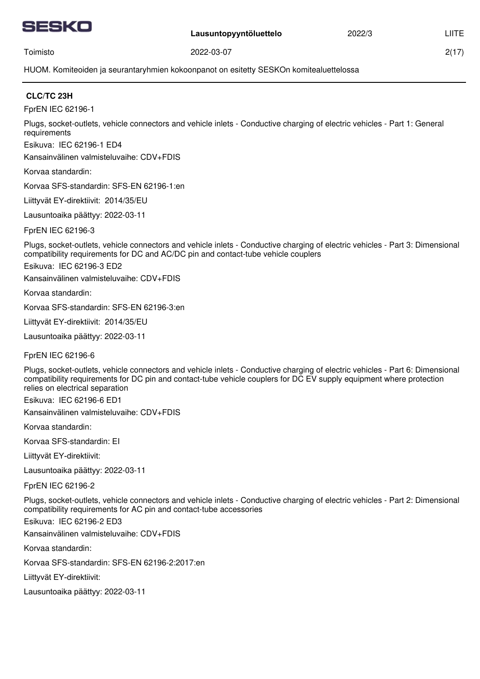

2(17)

Toimisto

2022-03-07

HUOM. Komiteoiden ja seurantaryhmien kokoonpanot on esitetty SESKOn komitealuettelossa

## **CLC/TC 23H**

FprEN IEC 62196-1

Plugs, socket-outlets, vehicle connectors and vehicle inlets - Conductive charging of electric vehicles - Part 1: General requirements

Esikuva: IEC 62196-1 ED4

Kansainvälinen valmisteluvaihe: CDV+FDIS

Korvaa standardin:

Korvaa SFS-standardin: SFS-EN 62196-1:en

Liittyvät EY-direktiivit: 2014/35/EU

Lausuntoaika päättyy: 2022-03-11

FprEN IEC 62196-3

Plugs, socket-outlets, vehicle connectors and vehicle inlets - Conductive charging of electric vehicles - Part 3: Dimensional compatibility requirements for DC and AC/DC pin and contact-tube vehicle couplers

Esikuva: IEC 62196-3 ED2

Kansainvälinen valmisteluvaihe: CDV+FDIS

Korvaa standardin:

Korvaa SFS-standardin: SFS-EN 62196-3:en

Liittyvät EY-direktiivit: 2014/35/EU

Lausuntoaika päättyy: 2022-03-11

FprEN IEC 62196-6

Plugs, socket-outlets, vehicle connectors and vehicle inlets - Conductive charging of electric vehicles - Part 6: Dimensional compatibility requirements for DC pin and contact-tube vehicle couplers for DC EV supply equipment where protection relies on electrical separation

Esikuva: IEC 62196-6 ED1

Kansainvälinen valmisteluvaihe: CDV+FDIS

Korvaa standardin:

Korvaa SFS-standardin: EI

Liittyvät EY-direktiivit:

Lausuntoaika päättyy: 2022-03-11

FprEN IEC 62196-2

Plugs, socket-outlets, vehicle connectors and vehicle inlets - Conductive charging of electric vehicles - Part 2: Dimensional compatibility requirements for AC pin and contact-tube accessories

Esikuva: IEC 62196-2 ED3

Kansainvälinen valmisteluvaihe: CDV+FDIS

Korvaa standardin:

Korvaa SFS-standardin: SFS-EN 62196-2:2017:en

Liittyvät EY-direktiivit: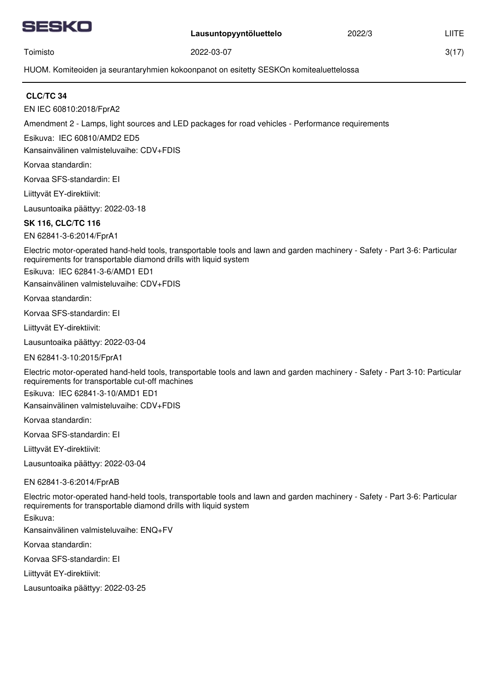

3(17)

Toimisto

2022-03-07

HUOM. Komiteoiden ja seurantaryhmien kokoonpanot on esitetty SESKOn komitealuettelossa

# **CLC/TC 34**

EN IEC 60810:2018/FprA2

Amendment 2 - Lamps, light sources and LED packages for road vehicles - Performance requirements

Esikuva: IEC 60810/AMD2 ED5

Kansainvälinen valmisteluvaihe: CDV+FDIS

Korvaa standardin:

Korvaa SFS-standardin: EI

Liittyvät EY-direktiivit:

Lausuntoaika päättyy: 2022-03-18

## **SK 116, CLC/TC 116**

EN 62841-3-6:2014/FprA1

Electric motor-operated hand-held tools, transportable tools and lawn and garden machinery - Safety - Part 3-6: Particular requirements for transportable diamond drills with liquid system

Esikuva: IEC 62841-3-6/AMD1 ED1

Kansainvälinen valmisteluvaihe: CDV+FDIS

Korvaa standardin:

Korvaa SFS-standardin: EI

Liittyvät EY-direktiivit:

Lausuntoaika päättyy: 2022-03-04

EN 62841-3-10:2015/FprA1

Electric motor-operated hand-held tools, transportable tools and lawn and garden machinery - Safety - Part 3-10: Particular requirements for transportable cut-off machines

Esikuva: IEC 62841-3-10/AMD1 ED1

Kansainvälinen valmisteluvaihe: CDV+FDIS

Korvaa standardin:

Korvaa SFS-standardin: EI

Liittyvät EY-direktiivit:

Lausuntoaika päättyy: 2022-03-04

EN 62841-3-6:2014/FprAB

Electric motor-operated hand-held tools, transportable tools and lawn and garden machinery - Safety - Part 3-6: Particular requirements for transportable diamond drills with liquid system

Esikuva:

Kansainvälinen valmisteluvaihe: ENQ+FV

Korvaa standardin:

Korvaa SFS-standardin: EI

Liittyvät EY-direktiivit: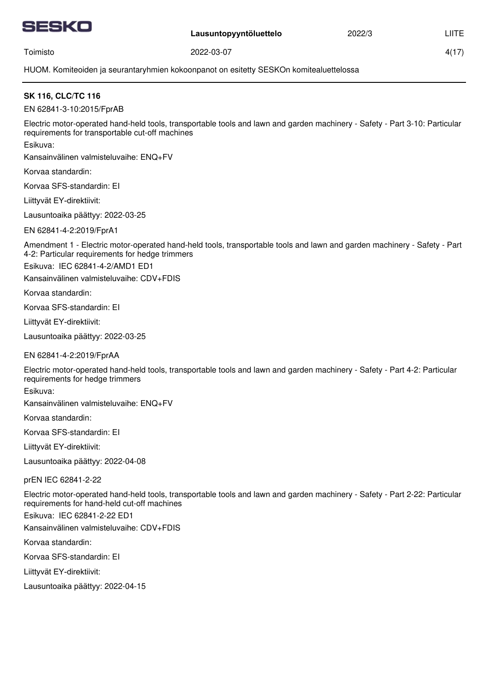

2022/3

4(17)

Toimisto

2022-03-07

HUOM. Komiteoiden ja seurantaryhmien kokoonpanot on esitetty SESKOn komitealuettelossa

# **SK 116, CLC/TC 116**

EN 62841-3-10:2015/FprAB

Electric motor-operated hand-held tools, transportable tools and lawn and garden machinery - Safety - Part 3-10: Particular requirements for transportable cut-off machines

Esikuva:

Kansainvälinen valmisteluvaihe: ENQ+FV

Korvaa standardin:

Korvaa SFS-standardin: EI

Liittyvät EY-direktiivit:

Lausuntoaika päättyy: 2022-03-25

EN 62841-4-2:2019/FprA1

Amendment 1 - Electric motor-operated hand-held tools, transportable tools and lawn and garden machinery - Safety - Part 4-2: Particular requirements for hedge trimmers

Esikuva: IEC 62841-4-2/AMD1 ED1

Kansainvälinen valmisteluvaihe: CDV+FDIS

Korvaa standardin:

Korvaa SFS-standardin: EI

Liittyvät EY-direktiivit:

Lausuntoaika päättyy: 2022-03-25

EN 62841-4-2:2019/FprAA

Electric motor-operated hand-held tools, transportable tools and lawn and garden machinery - Safety - Part 4-2: Particular requirements for hedge trimmers

Esikuva:

Kansainvälinen valmisteluvaihe: ENQ+FV

Korvaa standardin:

Korvaa SFS-standardin: EI

Liittyvät EY-direktiivit:

Lausuntoaika päättyy: 2022-04-08

prEN IEC 62841-2-22

Electric motor-operated hand-held tools, transportable tools and lawn and garden machinery - Safety - Part 2-22: Particular requirements for hand-held cut-off machines

Esikuva: IEC 62841-2-22 ED1

Kansainvälinen valmisteluvaihe: CDV+FDIS

Korvaa standardin:

Korvaa SFS-standardin: EI

Liittyvät EY-direktiivit: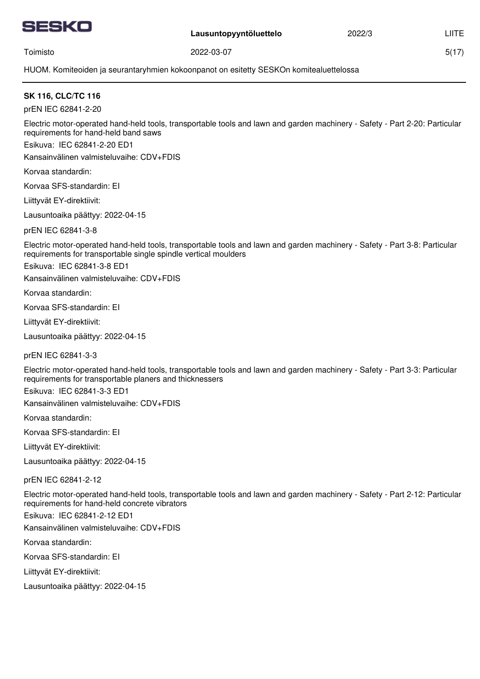

2022/3

5(17)

Toimisto

2022-03-07

HUOM. Komiteoiden ja seurantaryhmien kokoonpanot on esitetty SESKOn komitealuettelossa

## **SK 116, CLC/TC 116**

prEN IEC 62841-2-20

Electric motor-operated hand-held tools, transportable tools and lawn and garden machinery - Safety - Part 2-20: Particular requirements for hand-held band saws

Esikuva: IEC 62841-2-20 ED1

Kansainvälinen valmisteluvaihe: CDV+FDIS

Korvaa standardin:

Korvaa SFS-standardin: EI

Liittyvät EY-direktiivit:

Lausuntoaika päättyy: 2022-04-15

prEN IEC 62841-3-8

Electric motor-operated hand-held tools, transportable tools and lawn and garden machinery - Safety - Part 3-8: Particular requirements for transportable single spindle vertical moulders

Esikuva: IEC 62841-3-8 ED1

Kansainvälinen valmisteluvaihe: CDV+FDIS

Korvaa standardin:

Korvaa SFS-standardin: EI

Liittyvät EY-direktiivit:

Lausuntoaika päättyy: 2022-04-15

prEN IEC 62841-3-3

Electric motor-operated hand-held tools, transportable tools and lawn and garden machinery - Safety - Part 3-3: Particular requirements for transportable planers and thicknessers

Esikuva: IEC 62841-3-3 ED1

Kansainvälinen valmisteluvaihe: CDV+FDIS

Korvaa standardin:

Korvaa SFS-standardin: EI

Liittyvät EY-direktiivit:

Lausuntoaika päättyy: 2022-04-15

prEN IEC 62841-2-12

Electric motor-operated hand-held tools, transportable tools and lawn and garden machinery - Safety - Part 2-12: Particular requirements for hand-held concrete vibrators

Esikuva: IEC 62841-2-12 ED1

Kansainvälinen valmisteluvaihe: CDV+FDIS

Korvaa standardin:

Korvaa SFS-standardin: EI

Liittyvät EY-direktiivit: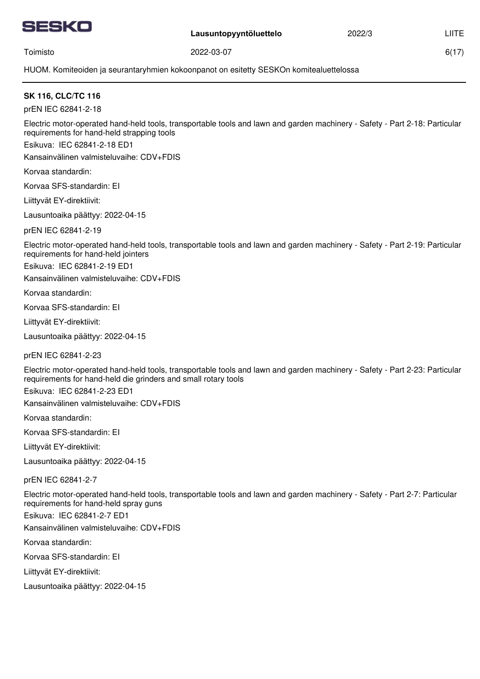

2022/3

6(17)

Toimisto

2022-03-07

HUOM. Komiteoiden ja seurantaryhmien kokoonpanot on esitetty SESKOn komitealuettelossa

# **SK 116, CLC/TC 116**

prEN IEC 62841-2-18

Electric motor-operated hand-held tools, transportable tools and lawn and garden machinery - Safety - Part 2-18: Particular requirements for hand-held strapping tools

Esikuva: IEC 62841-2-18 ED1

Kansainvälinen valmisteluvaihe: CDV+FDIS

Korvaa standardin:

Korvaa SFS-standardin: EI

Liittyvät EY-direktiivit:

Lausuntoaika päättyy: 2022-04-15

prEN IEC 62841-2-19

Electric motor-operated hand-held tools, transportable tools and lawn and garden machinery - Safety - Part 2-19: Particular requirements for hand-held jointers

Esikuva: IEC 62841-2-19 ED1

Kansainvälinen valmisteluvaihe: CDV+FDIS

Korvaa standardin:

Korvaa SFS-standardin: EI

Liittyvät EY-direktiivit:

Lausuntoaika päättyy: 2022-04-15

prEN IEC 62841-2-23

Electric motor-operated hand-held tools, transportable tools and lawn and garden machinery - Safety - Part 2-23: Particular requirements for hand-held die grinders and small rotary tools

Esikuva: IEC 62841-2-23 ED1

Kansainvälinen valmisteluvaihe: CDV+FDIS

Korvaa standardin:

Korvaa SFS-standardin: EI

Liittyvät EY-direktiivit:

Lausuntoaika päättyy: 2022-04-15

prEN IEC 62841-2-7

Electric motor-operated hand-held tools, transportable tools and lawn and garden machinery - Safety - Part 2-7: Particular requirements for hand-held spray guns

Esikuva: IEC 62841-2-7 ED1

Kansainvälinen valmisteluvaihe: CDV+FDIS

Korvaa standardin:

Korvaa SFS-standardin: EI

Liittyvät EY-direktiivit: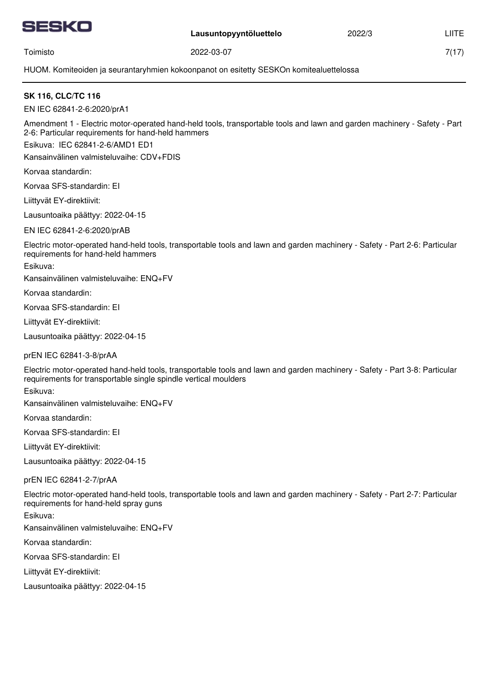

2022/3

7(17)

Toimisto

2022-03-07

HUOM. Komiteoiden ja seurantaryhmien kokoonpanot on esitetty SESKOn komitealuettelossa

# **SK 116, CLC/TC 116**

EN IEC 62841-2-6:2020/prA1

Amendment 1 - Electric motor-operated hand-held tools, transportable tools and lawn and garden machinery - Safety - Part 2-6: Particular requirements for hand-held hammers

Esikuva: IEC 62841-2-6/AMD1 ED1

Kansainvälinen valmisteluvaihe: CDV+FDIS

Korvaa standardin:

Korvaa SFS-standardin: EI

Liittyvät EY-direktiivit:

Lausuntoaika päättyy: 2022-04-15

EN IEC 62841-2-6:2020/prAB

Electric motor-operated hand-held tools, transportable tools and lawn and garden machinery - Safety - Part 2-6: Particular requirements for hand-held hammers

Esikuva:

Kansainvälinen valmisteluvaihe: ENQ+FV

Korvaa standardin:

Korvaa SFS-standardin: EI

Liittyvät EY-direktiivit:

Lausuntoaika päättyy: 2022-04-15

prEN IEC 62841-3-8/prAA

Electric motor-operated hand-held tools, transportable tools and lawn and garden machinery - Safety - Part 3-8: Particular requirements for transportable single spindle vertical moulders

Esikuva:

Kansainvälinen valmisteluvaihe: ENQ+FV

Korvaa standardin:

Korvaa SFS-standardin: EI

Liittyvät EY-direktiivit:

Lausuntoaika päättyy: 2022-04-15

prEN IEC 62841-2-7/prAA

Electric motor-operated hand-held tools, transportable tools and lawn and garden machinery - Safety - Part 2-7: Particular requirements for hand-held spray guns

Esikuva:

Kansainvälinen valmisteluvaihe: ENQ+FV

Korvaa standardin:

Korvaa SFS-standardin: EI

Liittyvät EY-direktiivit: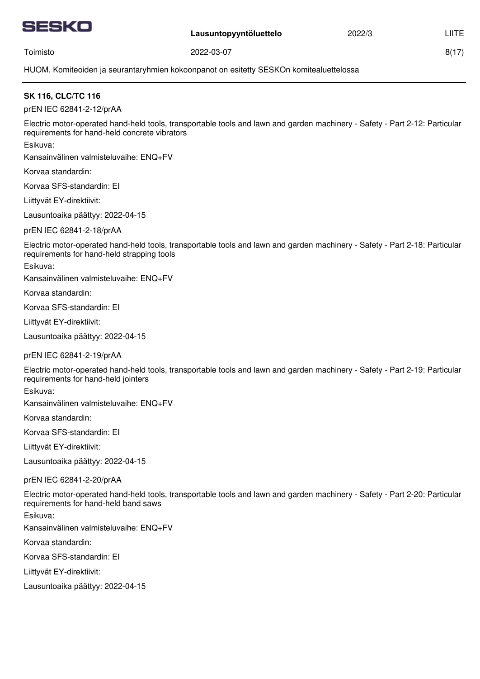

2022/3

Toimisto

2022-03-07

8(17)

HUOM. Komiteoiden ja seurantaryhmien kokoonpanot on esitetty SESKOn komitealuettelossa

## **SK 116, CLC/TC 116**

prEN IEC 62841-2-12/prAA

Electric motor-operated hand-held tools, transportable tools and lawn and garden machinery - Safety - Part 2-12: Particular requirements for hand-held concrete vibrators

Esikuva:

Kansainvälinen valmisteluvaihe: ENQ+FV

Korvaa standardin:

Korvaa SFS-standardin: EI

Liittyvät EY-direktiivit:

Lausuntoaika päättyy: 2022-04-15

prEN IEC 62841-2-18/prAA

Electric motor-operated hand-held tools, transportable tools and lawn and garden machinery - Safety - Part 2-18: Particular requirements for hand-held strapping tools

Esikuva:

Kansainvälinen valmisteluvaihe: ENQ+FV

Korvaa standardin:

Korvaa SFS-standardin: EI

Liittyvät EY-direktiivit:

Lausuntoaika päättyy: 2022-04-15

prEN IEC 62841-2-19/prAA

Electric motor-operated hand-held tools, transportable tools and lawn and garden machinery - Safety - Part 2-19: Particular requirements for hand-held jointers

Esikuva:

Kansainvälinen valmisteluvaihe: ENQ+FV

Korvaa standardin:

Korvaa SFS-standardin: EI

Liittyvät EY-direktiivit:

Lausuntoaika päättyy: 2022-04-15

prEN IEC 62841-2-20/prAA

Electric motor-operated hand-held tools, transportable tools and lawn and garden machinery - Safety - Part 2-20: Particular requirements for hand-held band saws

Esikuva:

Kansainvälinen valmisteluvaihe: ENQ+FV

Korvaa standardin:

Korvaa SFS-standardin: EI

Liittyvät EY-direktiivit: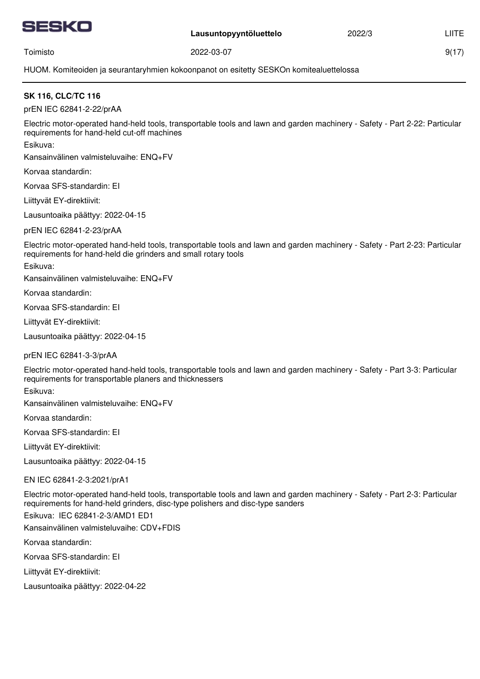

2022/3

9(17)

Toimisto

2022-03-07

HUOM. Komiteoiden ja seurantaryhmien kokoonpanot on esitetty SESKOn komitealuettelossa

## **SK 116, CLC/TC 116**

prEN IEC 62841-2-22/prAA

Electric motor-operated hand-held tools, transportable tools and lawn and garden machinery - Safety - Part 2-22: Particular requirements for hand-held cut-off machines

Esikuva:

Kansainvälinen valmisteluvaihe: ENQ+FV

Korvaa standardin:

Korvaa SFS-standardin: EI

Liittyvät EY-direktiivit:

Lausuntoaika päättyy: 2022-04-15

prEN IEC 62841-2-23/prAA

Electric motor-operated hand-held tools, transportable tools and lawn and garden machinery - Safety - Part 2-23: Particular requirements for hand-held die grinders and small rotary tools

Esikuva:

Kansainvälinen valmisteluvaihe: ENQ+FV

Korvaa standardin:

Korvaa SFS-standardin: EI

Liittyvät EY-direktiivit:

Lausuntoaika päättyy: 2022-04-15

prEN IEC 62841-3-3/prAA

Electric motor-operated hand-held tools, transportable tools and lawn and garden machinery - Safety - Part 3-3: Particular requirements for transportable planers and thicknessers

Esikuva:

Kansainvälinen valmisteluvaihe: ENQ+FV

Korvaa standardin:

Korvaa SFS-standardin: EI

Liittyvät EY-direktiivit:

Lausuntoaika päättyy: 2022-04-15

EN IEC 62841-2-3:2021/prA1

Electric motor-operated hand-held tools, transportable tools and lawn and garden machinery - Safety - Part 2-3: Particular requirements for hand-held grinders, disc-type polishers and disc-type sanders

Esikuva: IEC 62841-2-3/AMD1 ED1

Kansainvälinen valmisteluvaihe: CDV+FDIS

Korvaa standardin:

Korvaa SFS-standardin: EI

Liittyvät EY-direktiivit: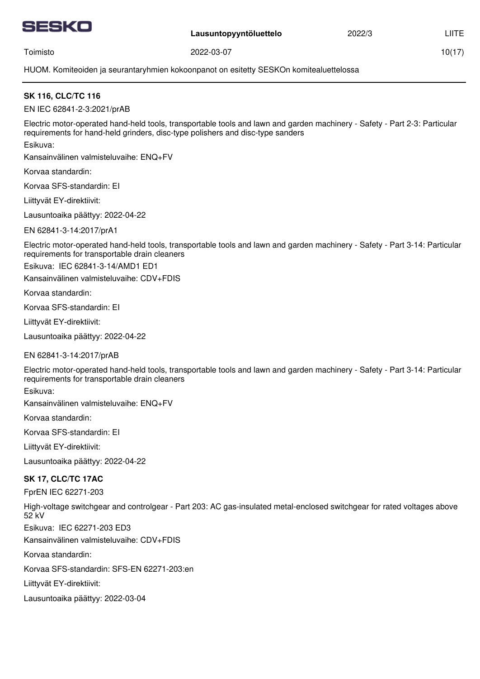

2022/3

10(17)

Toimisto

2022-03-07

HUOM. Komiteoiden ja seurantaryhmien kokoonpanot on esitetty SESKOn komitealuettelossa

# **SK 116, CLC/TC 116**

EN IEC 62841-2-3:2021/prAB

Electric motor-operated hand-held tools, transportable tools and lawn and garden machinery - Safety - Part 2-3: Particular requirements for hand-held grinders, disc-type polishers and disc-type sanders

Esikuva:

Kansainvälinen valmisteluvaihe: ENQ+FV

Korvaa standardin:

Korvaa SFS-standardin: EI

Liittyvät EY-direktiivit:

Lausuntoaika päättyy: 2022-04-22

EN 62841-3-14:2017/prA1

Electric motor-operated hand-held tools, transportable tools and lawn and garden machinery - Safety - Part 3-14: Particular requirements for transportable drain cleaners

Esikuva: IEC 62841-3-14/AMD1 ED1

Kansainvälinen valmisteluvaihe: CDV+FDIS

Korvaa standardin:

Korvaa SFS-standardin: EI

Liittyvät EY-direktiivit:

Lausuntoaika päättyy: 2022-04-22

EN 62841-3-14:2017/prAB

Electric motor-operated hand-held tools, transportable tools and lawn and garden machinery - Safety - Part 3-14: Particular requirements for transportable drain cleaners

Esikuva:

Kansainvälinen valmisteluvaihe: ENQ+FV

Korvaa standardin:

Korvaa SFS-standardin: EI

Liittyvät EY-direktiivit:

Lausuntoaika päättyy: 2022-04-22

## **SK 17, CLC/TC 17AC**

FprEN IEC 62271-203

High-voltage switchgear and controlgear - Part 203: AC gas-insulated metal-enclosed switchgear for rated voltages above 52 kV

Esikuva: IEC 62271-203 ED3

Kansainvälinen valmisteluvaihe: CDV+FDIS

Korvaa standardin:

Korvaa SFS-standardin: SFS-EN 62271-203:en

Liittyvät EY-direktiivit: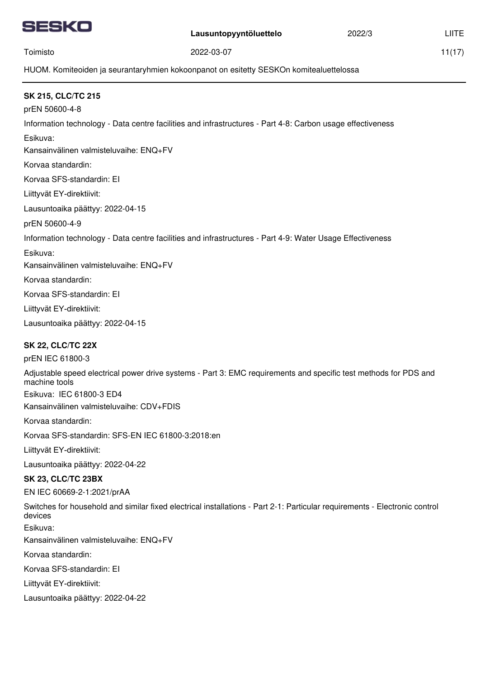|--|

Toimisto

**Lausuntopyyntöluettelo**

2022/3

11(17)

HUOM. Komiteoiden ja seurantaryhmien kokoonpanot on esitetty SESKOn komitealuettelossa

2022-03-07

| <b>SK 215, CLC/TC 215</b><br>prEN 50600-4-8                                                                                           |
|---------------------------------------------------------------------------------------------------------------------------------------|
| Information technology - Data centre facilities and infrastructures - Part 4-8: Carbon usage effectiveness                            |
| Esikuva:                                                                                                                              |
| Kansainvälinen valmisteluvaihe: ENQ+FV                                                                                                |
| Korvaa standardin:                                                                                                                    |
| Korvaa SFS-standardin: El                                                                                                             |
| Liittyvät EY-direktiivit:                                                                                                             |
| Lausuntoaika päättyy: 2022-04-15                                                                                                      |
| prEN 50600-4-9                                                                                                                        |
| Information technology - Data centre facilities and infrastructures - Part 4-9: Water Usage Effectiveness                             |
| Esikuva:                                                                                                                              |
| Kansainvälinen valmisteluvaihe: ENQ+FV                                                                                                |
| Korvaa standardin:                                                                                                                    |
| Korvaa SFS-standardin: El                                                                                                             |
| Liittyvät EY-direktiivit:                                                                                                             |
| Lausuntoaika päättyy: 2022-04-15                                                                                                      |
| <b>SK 22, CLC/TC 22X</b>                                                                                                              |
| prEN IEC 61800-3                                                                                                                      |
| Adjustable speed electrical power drive systems - Part 3: EMC requirements and specific test methods for PDS and<br>machine tools     |
| Esikuva: IEC 61800-3 ED4                                                                                                              |
| Kansainvälinen valmisteluvaihe: CDV+FDIS                                                                                              |
| Korvaa standardin:                                                                                                                    |
| Korvaa SFS-standardin: SFS-EN IEC 61800-3:2018:en                                                                                     |
| Liittyvät EY-direktiivit:                                                                                                             |
| Lausuntoaika päättyy: 2022-04-22                                                                                                      |
| <b>SK 23, CLC/TC 23BX</b>                                                                                                             |
| EN IEC 60669-2-1:2021/prAA                                                                                                            |
| Switches for household and similar fixed electrical installations - Part 2-1: Particular requirements - Electronic control<br>devices |
| Esikuva:                                                                                                                              |
| Kansainvälinen valmisteluvaihe: ENQ+FV                                                                                                |
| Korvaa standardin:                                                                                                                    |
| Korvaa SFS-standardin: El                                                                                                             |
| Liittyvät EY-direktiivit:                                                                                                             |
| Lausuntoaika päättyy: 2022-04-22                                                                                                      |
|                                                                                                                                       |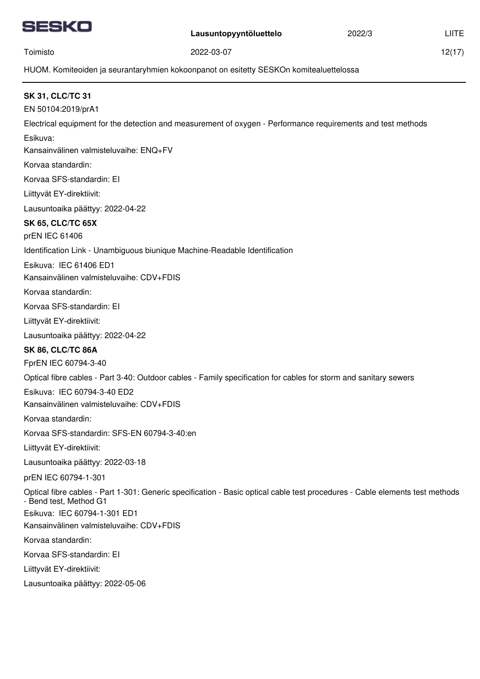

Toimisto

12(17)

HUOM. Komiteoiden ja seurantaryhmien kokoonpanot on esitetty SESKOn komitealuettelossa

2022-03-07

| <b>SK 31, CLC/TC 31</b>                                                                                                                                |
|--------------------------------------------------------------------------------------------------------------------------------------------------------|
| EN 50104:2019/prA1                                                                                                                                     |
| Electrical equipment for the detection and measurement of oxygen - Performance requirements and test methods                                           |
| Esikuva:                                                                                                                                               |
| Kansainvälinen valmisteluvaihe: ENQ+FV                                                                                                                 |
| Korvaa standardin:                                                                                                                                     |
| Korvaa SFS-standardin: El                                                                                                                              |
| Liittyvät EY-direktiivit:                                                                                                                              |
| Lausuntoaika päättyy: 2022-04-22                                                                                                                       |
| <b>SK 65, CLC/TC 65X</b>                                                                                                                               |
| prEN IEC 61406                                                                                                                                         |
| Identification Link - Unambiguous biunique Machine-Readable Identification                                                                             |
| Esikuva: IEC 61406 ED1                                                                                                                                 |
| Kansainvälinen valmisteluvaihe: CDV+FDIS                                                                                                               |
| Korvaa standardin:                                                                                                                                     |
| Korvaa SFS-standardin: El                                                                                                                              |
| Liittyvät EY-direktiivit:                                                                                                                              |
| Lausuntoaika päättyy: 2022-04-22                                                                                                                       |
| <b>SK 86, CLC/TC 86A</b>                                                                                                                               |
| FprEN IEC 60794-3-40                                                                                                                                   |
| Optical fibre cables - Part 3-40: Outdoor cables - Family specification for cables for storm and sanitary sewers                                       |
| Esikuva: IEC 60794-3-40 ED2                                                                                                                            |
| Kansainvälinen valmisteluvaihe: CDV+FDIS                                                                                                               |
| Korvaa standardin:                                                                                                                                     |
| Korvaa SFS-standardin: SFS-EN 60794-3-40:en                                                                                                            |
| Liittyvät EY-direktiivit:                                                                                                                              |
| Lausuntoaika päättyy: 2022-03-18                                                                                                                       |
| prEN IEC 60794-1-301                                                                                                                                   |
| Optical fibre cables - Part 1-301: Generic specification - Basic optical cable test procedures - Cable elements test methods<br>- Bend test, Method G1 |
| Esikuva: IEC 60794-1-301 ED1                                                                                                                           |
| Kansainvälinen valmisteluvaihe: CDV+FDIS                                                                                                               |
| Korvaa standardin:                                                                                                                                     |
| Korvaa SFS-standardin: El                                                                                                                              |
| Liittyvät EY-direktiivit:                                                                                                                              |
| Lausuntoaika päättyy: 2022-05-06                                                                                                                       |
|                                                                                                                                                        |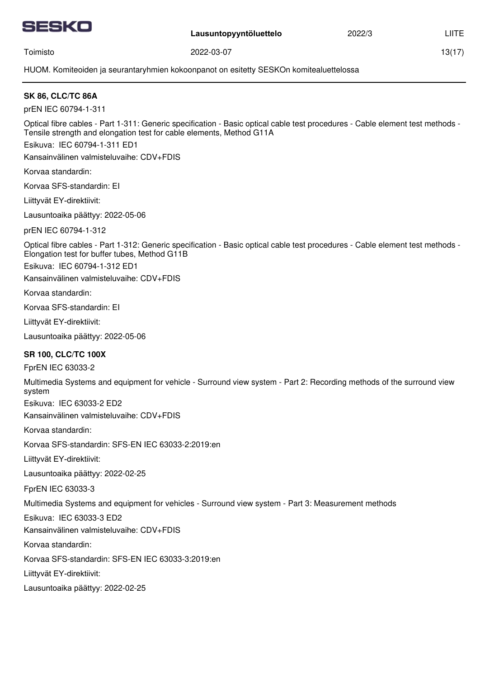

2022/3

13(17)

Toimisto

2022-03-07

HUOM. Komiteoiden ja seurantaryhmien kokoonpanot on esitetty SESKOn komitealuettelossa

| <b>SK 86, CLC/TC 86A</b>                                                                                                                                                                                                                                   |
|------------------------------------------------------------------------------------------------------------------------------------------------------------------------------------------------------------------------------------------------------------|
| prEN IEC 60794-1-311                                                                                                                                                                                                                                       |
| Optical fibre cables - Part 1-311: Generic specification - Basic optical cable test procedures - Cable element test methods -<br>Tensile strength and elongation test for cable elements, Method G11A<br>Esikuva: IEC 60794-1-311 ED1                      |
| Kansainvälinen valmisteluvaihe: CDV+FDIS                                                                                                                                                                                                                   |
| Korvaa standardin:                                                                                                                                                                                                                                         |
| Korvaa SFS-standardin: El                                                                                                                                                                                                                                  |
| Liittyvät EY-direktiivit:                                                                                                                                                                                                                                  |
| Lausuntoaika päättyy: 2022-05-06                                                                                                                                                                                                                           |
| prEN IEC 60794-1-312                                                                                                                                                                                                                                       |
| Optical fibre cables - Part 1-312: Generic specification - Basic optical cable test procedures - Cable element test methods -<br>Elongation test for buffer tubes, Method G11B<br>Esikuva: IEC 60794-1-312 ED1<br>Kansainvälinen valmisteluvaihe: CDV+FDIS |
| Korvaa standardin:                                                                                                                                                                                                                                         |
| Korvaa SFS-standardin: El                                                                                                                                                                                                                                  |
| Liittyvät EY-direktiivit:                                                                                                                                                                                                                                  |
| Lausuntoaika päättyy: 2022-05-06                                                                                                                                                                                                                           |
| <b>SR 100, CLC/TC 100X</b>                                                                                                                                                                                                                                 |
| FprEN IEC 63033-2                                                                                                                                                                                                                                          |
| Multimedia Systems and equipment for vehicle - Surround view system - Part 2: Recording methods of the surround view<br>system                                                                                                                             |
| Esikuva: IEC 63033-2 ED2                                                                                                                                                                                                                                   |
| Kansainvälinen valmisteluvaihe: CDV+FDIS                                                                                                                                                                                                                   |
| Korvaa standardin:                                                                                                                                                                                                                                         |
| Korvaa SFS-standardin: SFS-EN IEC 63033-2:2019:en                                                                                                                                                                                                          |
| Liittyvät EY-direktiivit:                                                                                                                                                                                                                                  |
| Lausuntoaika päättyy: 2022-02-25                                                                                                                                                                                                                           |
| FprEN IEC 63033-3                                                                                                                                                                                                                                          |
| Multimedia Systems and equipment for vehicles - Surround view system - Part 3: Measurement methods                                                                                                                                                         |
| Esikuva: IEC 63033-3 ED2<br>Kansainvälinen valmisteluvaihe: CDV+FDIS                                                                                                                                                                                       |
| Korvaa standardin:                                                                                                                                                                                                                                         |
| Korvaa SFS-standardin: SFS-EN IEC 63033-3:2019:en                                                                                                                                                                                                          |
| Liittyvät EY-direktiivit:                                                                                                                                                                                                                                  |
| Lausuntoaika päättyy: 2022-02-25                                                                                                                                                                                                                           |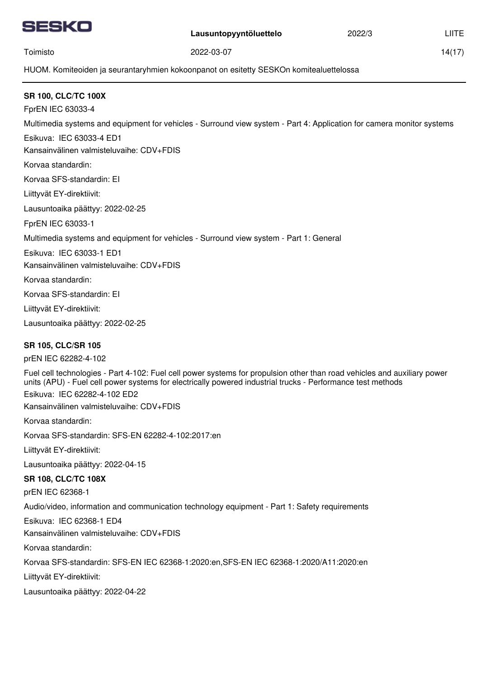

Toimisto

2022/3

14(17)

HUOM. Komiteoiden ja seurantaryhmien kokoonpanot on esitetty SESKOn komitealuettelossa

2022-03-07

| <b>SR 100, CLC/TC 100X</b>                                                                                                                                                                                                              |
|-----------------------------------------------------------------------------------------------------------------------------------------------------------------------------------------------------------------------------------------|
| FprEN IEC 63033-4                                                                                                                                                                                                                       |
| Multimedia systems and equipment for vehicles - Surround view system - Part 4: Application for camera monitor systems                                                                                                                   |
| Esikuva: IEC 63033-4 ED1                                                                                                                                                                                                                |
| Kansainvälinen valmisteluvaihe: CDV+FDIS                                                                                                                                                                                                |
| Korvaa standardin:                                                                                                                                                                                                                      |
| Korvaa SFS-standardin: El                                                                                                                                                                                                               |
| Liittyvät EY-direktiivit:                                                                                                                                                                                                               |
| Lausuntoaika päättyy: 2022-02-25                                                                                                                                                                                                        |
| FprEN IEC 63033-1                                                                                                                                                                                                                       |
| Multimedia systems and equipment for vehicles - Surround view system - Part 1: General                                                                                                                                                  |
| Esikuva: IEC 63033-1 ED1                                                                                                                                                                                                                |
| Kansainvälinen valmisteluvaihe: CDV+FDIS                                                                                                                                                                                                |
| Korvaa standardin:                                                                                                                                                                                                                      |
| Korvaa SFS-standardin: El                                                                                                                                                                                                               |
| Liittyvät EY-direktiivit:                                                                                                                                                                                                               |
| Lausuntoaika päättyy: 2022-02-25                                                                                                                                                                                                        |
| <b>SR 105, CLC/SR 105</b>                                                                                                                                                                                                               |
| prEN IEC 62282-4-102                                                                                                                                                                                                                    |
| Fuel cell technologies - Part 4-102: Fuel cell power systems for propulsion other than road vehicles and auxiliary power<br>units (APU) - Fuel cell power systems for electrically powered industrial trucks - Performance test methods |
| Esikuva: IEC 62282-4-102 ED2                                                                                                                                                                                                            |
| Kansainvälinen valmisteluvaihe: CDV+FDIS                                                                                                                                                                                                |
| Korvaa standardin:                                                                                                                                                                                                                      |
| Korvaa SFS-standardin: SFS-EN 62282-4-102:2017:en                                                                                                                                                                                       |
| Liittyvät EY-direktiivit:                                                                                                                                                                                                               |
| Lausuntoaika päättyy: 2022-04-15                                                                                                                                                                                                        |
| <b>SR 108, CLC/TC 108X</b>                                                                                                                                                                                                              |
| prEN IEC 62368-1                                                                                                                                                                                                                        |
| Audio/video, information and communication technology equipment - Part 1: Safety requirements                                                                                                                                           |
| Esikuva: IEC 62368-1 ED4                                                                                                                                                                                                                |
| Kansainvälinen valmisteluvaihe: CDV+FDIS                                                                                                                                                                                                |
| Korvaa standardin:                                                                                                                                                                                                                      |
| Korvaa SFS-standardin: SFS-EN IEC 62368-1:2020:en,SFS-EN IEC 62368-1:2020/A11:2020:en                                                                                                                                                   |
| Liittyvät EY-direktiivit:                                                                                                                                                                                                               |
| Lausuntoaika päättyy: 2022-04-22                                                                                                                                                                                                        |
|                                                                                                                                                                                                                                         |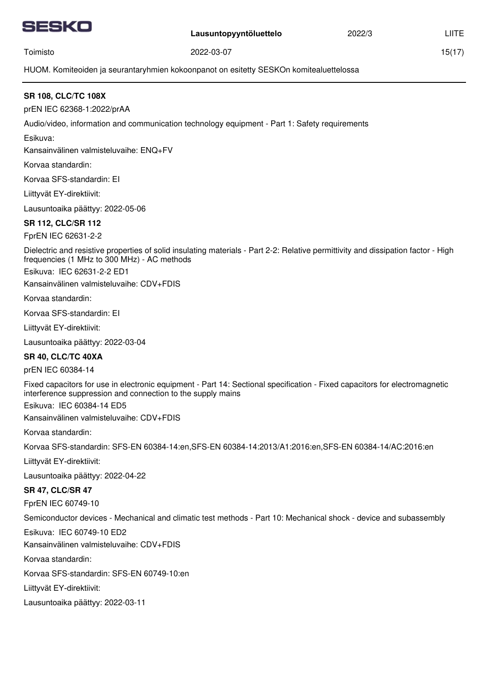

2022/3

15(17)

Toimisto

2022-03-07

HUOM. Komiteoiden ja seurantaryhmien kokoonpanot on esitetty SESKOn komitealuettelossa

## **SR 108, CLC/TC 108X**

prEN IEC 62368-1:2022/prAA

Audio/video, information and communication technology equipment - Part 1: Safety requirements

Esikuva:

Kansainvälinen valmisteluvaihe: ENQ+FV

Korvaa standardin:

Korvaa SFS-standardin: EI

Liittyvät EY-direktiivit:

Lausuntoaika päättyy: 2022-05-06

## **SR 112, CLC/SR 112**

FprEN IEC 62631-2-2

Dielectric and resistive properties of solid insulating materials - Part 2-2: Relative permittivity and dissipation factor - High frequencies (1 MHz to 300 MHz) - AC methods

Esikuva: IEC 62631-2-2 ED1

Kansainvälinen valmisteluvaihe: CDV+FDIS

Korvaa standardin:

Korvaa SFS-standardin: EI

Liittyvät EY-direktiivit:

Lausuntoaika päättyy: 2022-03-04

#### **SR 40, CLC/TC 40XA**

prEN IEC 60384-14

Fixed capacitors for use in electronic equipment - Part 14: Sectional specification - Fixed capacitors for electromagnetic interference suppression and connection to the supply mains

Esikuva: IEC 60384-14 ED5

Kansainvälinen valmisteluvaihe: CDV+FDIS

Korvaa standardin:

Korvaa SFS-standardin: SFS-EN 60384-14:en,SFS-EN 60384-14:2013/A1:2016:en,SFS-EN 60384-14/AC:2016:en

Liittyvät EY-direktiivit:

Lausuntoaika päättyy: 2022-04-22

#### **SR 47, CLC/SR 47**

FprEN IEC 60749-10

Semiconductor devices - Mechanical and climatic test methods - Part 10: Mechanical shock - device and subassembly

Esikuva: IEC 60749-10 ED2

Kansainvälinen valmisteluvaihe: CDV+FDIS

Korvaa standardin:

Korvaa SFS-standardin: SFS-EN 60749-10:en

Liittyvät EY-direktiivit: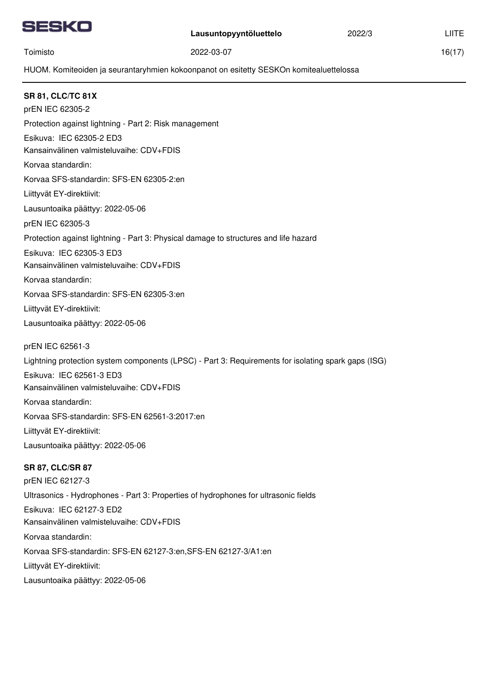

16(17)

Toimisto

2022-03-07

HUOM. Komiteoiden ja seurantaryhmien kokoonpanot on esitetty SESKOn komitealuettelossa

**SR 81, CLC/TC 81X** Esikuva: IEC 62305-2 ED3 Korvaa standardin: Korvaa SFS-standardin: SFS-EN 62305-2:en prEN IEC 62305-2 Protection against lightning - Part 2: Risk management Liittyvät EY-direktiivit: Lausuntoaika päättyy: 2022-05-06 Kansainvälinen valmisteluvaihe: CDV+FDIS Esikuva: IEC 62305-3 ED3 Korvaa standardin: Korvaa SFS-standardin: SFS-EN 62305-3:en prEN IEC 62305-3 Protection against lightning - Part 3: Physical damage to structures and life hazard Liittyvät EY-direktiivit: Lausuntoaika päättyy: 2022-05-06 Kansainvälinen valmisteluvaihe: CDV+FDIS Esikuva: IEC 62561-3 ED3 Korvaa standardin: Korvaa SFS-standardin: SFS-EN 62561-3:2017:en prEN IEC 62561-3 Lightning protection system components (LPSC) - Part 3: Requirements for isolating spark gaps (ISG) Liittyvät EY-direktiivit: Lausuntoaika päättyy: 2022-05-06 Kansainvälinen valmisteluvaihe: CDV+FDIS **SR 87, CLC/SR 87** Esikuva: IEC 62127-3 ED2 Korvaa standardin: Korvaa SFS-standardin: SFS-EN 62127-3:en,SFS-EN 62127-3/A1:en prEN IEC 62127-3 Ultrasonics - Hydrophones - Part 3: Properties of hydrophones for ultrasonic fields Liittyvät EY-direktiivit: Lausuntoaika päättyy: 2022-05-06 Kansainvälinen valmisteluvaihe: CDV+FDIS